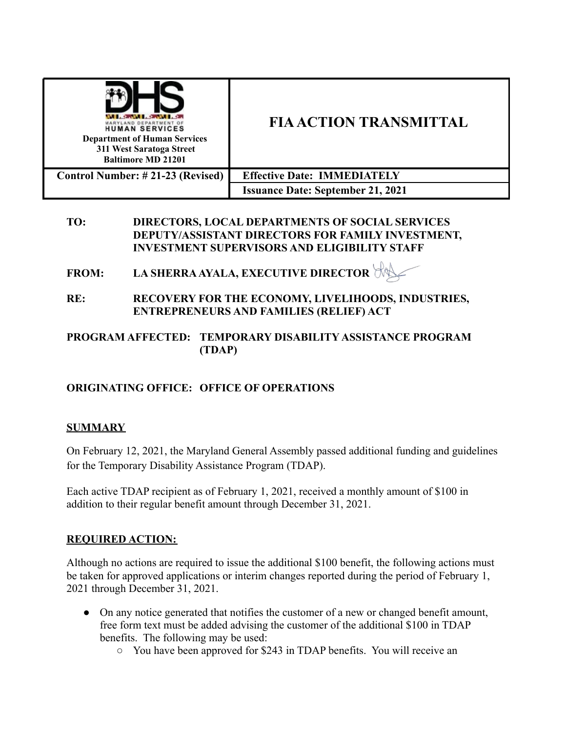| MARYLAND DEPARTMENT O<br><b>HUMAN SERVICES</b><br><b>Department of Human Services</b><br>311 West Saratoga Street<br><b>Baltimore MD 21201</b> | <b>FIA ACTION TRANSMITTAL</b>            |
|------------------------------------------------------------------------------------------------------------------------------------------------|------------------------------------------|
| Control Number: #21-23 (Revised)                                                                                                               | <b>Effective Date: IMMEDIATELY</b>       |
|                                                                                                                                                | <b>Issuance Date: September 21, 2021</b> |

#### **TO: DIRECTORS, LOCAL DEPARTMENTS OF SOCIAL SERVICES DEPUTY/ASSISTANT DIRECTORS FOR FAMILY INVESTMENT, INVESTMENT SUPERVISORS AND ELIGIBILITY STAFF**

- **FROM: LA SHERRA AYALA, EXECUTIVE DIRECTOR**
- **RE: RECOVERY FOR THE ECONOMY, LIVELIHOODS, INDUSTRIES, ENTREPRENEURS AND FAMILIES (RELIEF) ACT**

# **PROGRAM AFFECTED: TEMPORARY DISABILITY ASSISTANCE PROGRAM (TDAP)**

# **ORIGINATING OFFICE: OFFICE OF OPERATIONS**

# **SUMMARY**

On February 12, 2021, the Maryland General Assembly passed additional funding and guidelines for the Temporary Disability Assistance Program (TDAP).

Each active TDAP recipient as of February 1, 2021, received a monthly amount of \$100 in addition to their regular benefit amount through December 31, 2021.

# **REQUIRED ACTION:**

Although no actions are required to issue the additional \$100 benefit, the following actions must be taken for approved applications or interim changes reported during the period of February 1, 2021 through December 31, 2021.

- On any notice generated that notifies the customer of a new or changed benefit amount, free form text must be added advising the customer of the additional \$100 in TDAP benefits. The following may be used:
	- You have been approved for \$243 in TDAP benefits. You will receive an